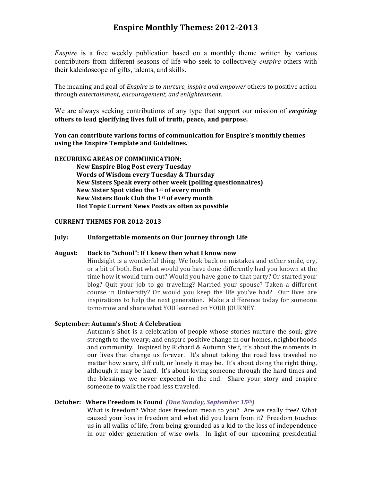# **Enspire Monthly Themes: 2012-2013**

*Enspire* is a free weekly publication based on a monthly theme written by various contributors from different seasons of life who seek to collectively *enspire* others with their kaleidoscope of gifts, talents, and skills.

The meaning and goal of *Enspire* is to *nurture, inspire and empower* others to positive action through *entertainment, encouragement, and enlightenment*.

We are always seeking contributions of any type that support our mission of *enspiring* **others to lead glorifying lives full of truth, peace, and purpose.** 

# **You can contribute various forms of communication for Enspire's monthly themes using the Enspire Template and Guidelines.**

#### **RECURRING AREAS OF COMMUNICATION:**

**New Enspire Blog Post every Tuesday Words of Wisdom every Tuesday & Thursday New Sisters Speak every other week (polling questionnaires)** New Sister Spot video the 1<sup>st</sup> of every month New Sisters Book Club the 1<sup>st</sup> of every month **Hot Topic Current News Posts as often as possible** 

### **CURRENT THEMES FOR 2012-2013**

## **July: Unforgettable moments on Our Journey through Life**

# August: Back to "School": If I knew then what I know now

Hindsight is a wonderful thing. We look back on mistakes and either smile, cry, or a bit of both. But what would you have done differently had you known at the time how it would turn out? Would you have gone to that party? Or started your blog? Quit your job to go traveling? Married your spouse? Taken a different course in University? Or would you keep the life you've had? Our lives are inspirations to help the next generation. Make a difference today for someone tomorrow and share what YOU learned on YOUR JOURNEY.

# **September: Autumn's Shot: A Celebration**

Autumn's Shot is a celebration of people whose stories nurture the soul; give strength to the weary; and enspire positive change in our homes, neighborhoods and community. Inspired by Richard & Autumn Steif, it's about the moments in our lives that change us forever. It's about taking the road less traveled no matter how scary, difficult, or lonely it may be. It's about doing the right thing, although it may be hard. It's about loving someone through the hard times and the blessings we never expected in the end. Share your story and enspire someone to walk the road less traveled.

# **October: Where Freedom is Found** *(Due Sunday, September 15th)*

What is freedom? What does freedom mean to you? Are we really free? What caused your loss in freedom and what did you learn from it? Freedom touches us in all walks of life, from being grounded as a kid to the loss of independence in our older generation of wise owls. In light of our upcoming presidential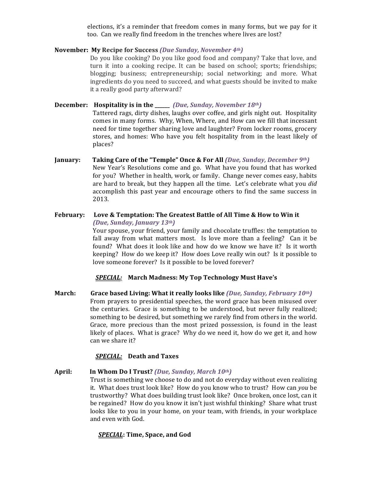elections, it's a reminder that freedom comes in many forms, but we pay for it too. Can we really find freedom in the trenches where lives are lost?

# **November: My Recipe for Success** *(Due Sunday, November 4th)*

Do you like cooking? Do you like good food and company? Take that love, and turn it into a cooking recipe. It can be based on school; sports; friendships; blogging; business; entrepreneurship; social networking; and more. What ingredients do you need to succeed, and what guests should be invited to make it a really good party afterward?

**December:** Hospitality is in the \_\_\_\_\_\_ *(Due, Sunday, November 18th)* 

Tattered rags, dirty dishes, laughs over coffee, and girls night out. Hospitality comes in many forms. Why, When, Where, and How can we fill that incessant need for time together sharing love and laughter? From locker rooms, grocery stores, and homes: Who have you felt hospitality from in the least likely of places?

- **January:** Taking Care of the "Temple" Once & For All *(Due, Sunday, December 9th)* New Year's Resolutions come and go. What have you found that has worked for you? Whether in health, work, or family. Change never comes easy, habits are hard to break, but they happen all the time. Let's celebrate what you did accomplish this past year and encourage others to find the same success in 2013.
- February: Love & Temptation: The Greatest Battle of All Time & How to Win it *(Due, Sunday, January 13th)* Your spouse, your friend, your family and chocolate truffles: the temptation to fall away from what matters most. Is love more than a feeling? Can it be found? What does it look like and how do we know we have it? Is it worth keeping? How do we keep it? How does Love really win out? Is it possible to

*SPECIAL:* **March Madness: My Top Technology Must Have's**

love someone forever? Is it possible to be loved forever?

**March:** Grace based Living: What it really looks like *(Due, Sunday, February 10th)* From prayers to presidential speeches, the word grace has been misused over the centuries. Grace is something to be understood, but never fully realized; something to be desired, but something we rarely find from others in the world. Grace, more precious than the most prized possession, is found in the least likely of places. What is grace? Why do we need it, how do we get it, and how can we share it?

# *SPECIAL:* **Death and Taxes**

April: **In Whom Do I Trust?** *(Due, Sunday, March* 10<sup>th</sup>) Trust is something we choose to do and not do everyday without even realizing it. What does trust look like? How do you know who to trust? How can *you* be trustworthy? What does building trust look like? Once broken, once lost, can it be regained? How do you know it isn't just wishful thinking? Share what trust looks like to you in your home, on your team, with friends, in your workplace and even with God.

#### *SPECIAL***: Time, Space, and God**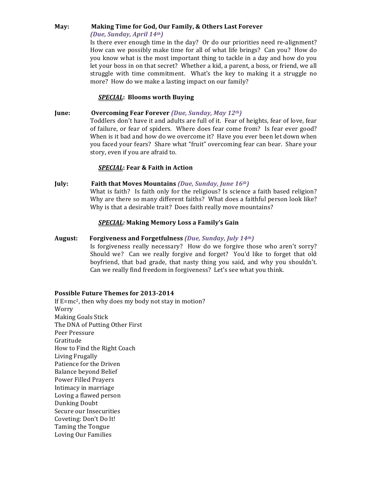#### **May: Making Time for God, Our Family, & Others Last Forever** *(Due, Sunday, April 14th)*

Is there ever enough time in the day? Or do our priorities need re-alignment? How can we possibly make time for all of what life brings? Can you? How do you know what is the most important thing to tackle in a day and how do you let your boss in on that secret? Whether a kid, a parent, a boss, or friend, we all struggle with time commitment. What's the key to making it a struggle no more? How do we make a lasting impact on our family?

# **SPECIAL:** Blooms worth Buying

# **June: Overcoming Fear Forever** *(Due, Sunday, May 12th)*

Toddlers don't have it and adults are full of it. Fear of heights, fear of love, fear of failure, or fear of spiders. Where does fear come from? Is fear ever good? When is it bad and how do we overcome it? Have you ever been let down when you faced your fears? Share what "fruit" overcoming fear can bear. Share your story, even if you are afraid to.

# *SPECIAL***: Fear & Faith in Action**

# **July: Faith that Moves Mountains** *(Due, Sunday, June 16th)*

What is faith? Is faith only for the religious? Is science a faith based religion? Why are there so many different faiths? What does a faithful person look like? Why is that a desirable trait? Does faith really move mountains?

# *SPECIAL:* **Making Memory Loss a Family's Gain**

# **August: Forgiveness and Forgetfulness** *(Due, Sunday, July 14th)*

Is forgiveness really necessary? How do we forgive those who aren't sorry? Should we? Can we really forgive and forget? You'd like to forget that old boyfriend, that bad grade, that nasty thing you said, and why you shouldn't. Can we really find freedom in forgiveness? Let's see what you think.

# Possible Future Themes for 2013-2014

If  $E=mc^2$ , then why does my body not stay in motion? Worry Making Goals Stick The DNA of Putting Other First Peer Pressure Gratitude How to Find the Right Coach Living Frugally Patience for the Driven **Balance beyond Belief** Power Filled Prayers Intimacy in marriage Loving a flawed person Dunking Doubt Secure our Insecurities Coveting: Don't Do It! Taming the Tongue Loving Our Families